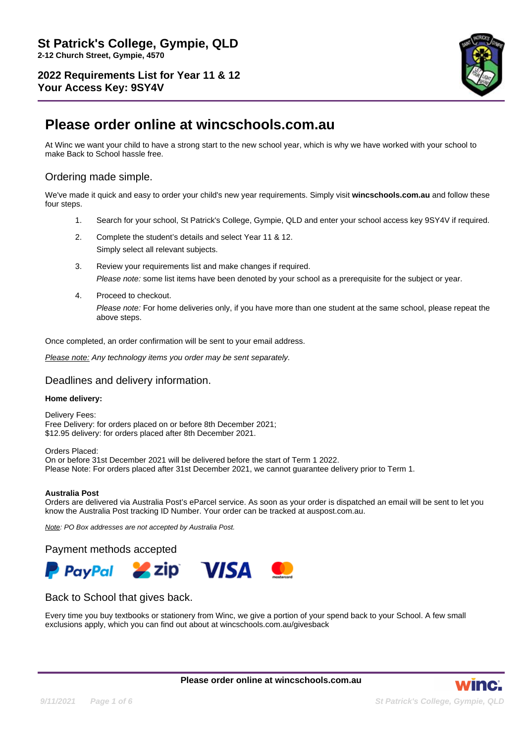

# **Please order online at wincschools.com.au**

At Winc we want your child to have a strong start to the new school year, which is why we have worked with your school to make Back to School hassle free.

# Ordering made simple.

We've made it quick and easy to order your child's new year requirements. Simply visit **wincschools.com.au** and follow these four steps.

- 1. Search for your school, St Patrick's College, Gympie, QLD and enter your school access key 9SY4V if required.
- 2. Complete the student's details and select Year 11 & 12. Simply select all relevant subjects.
- 3. Review your requirements list and make changes if required. Please note: some list items have been denoted by your school as a prerequisite for the subject or year.
- 4. Proceed to checkout. Please note: For home deliveries only, if you have more than one student at the same school, please repeat the above steps.

Once completed, an order confirmation will be sent to your email address.

Please note: Any technology items you order may be sent separately.

### Deadlines and delivery information.

#### **Home delivery:**

Delivery Fees: Free Delivery: for orders placed on or before 8th December 2021; \$12.95 delivery: for orders placed after 8th December 2021.

Orders Placed: On or before 31st December 2021 will be delivered before the start of Term 1 2022. Please Note: For orders placed after 31st December 2021, we cannot guarantee delivery prior to Term 1.

#### **Australia Post**

Orders are delivered via Australia Post's eParcel service. As soon as your order is dispatched an email will be sent to let you know the Australia Post tracking ID Number. Your order can be tracked at auspost.com.au.

Note: PO Box addresses are not accepted by Australia Post.

Payment methods accepted



## Back to School that gives back.

Every time you buy textbooks or stationery from Winc, we give a portion of your spend back to your School. A few small exclusions apply, which you can find out about at wincschools.com.au/givesback

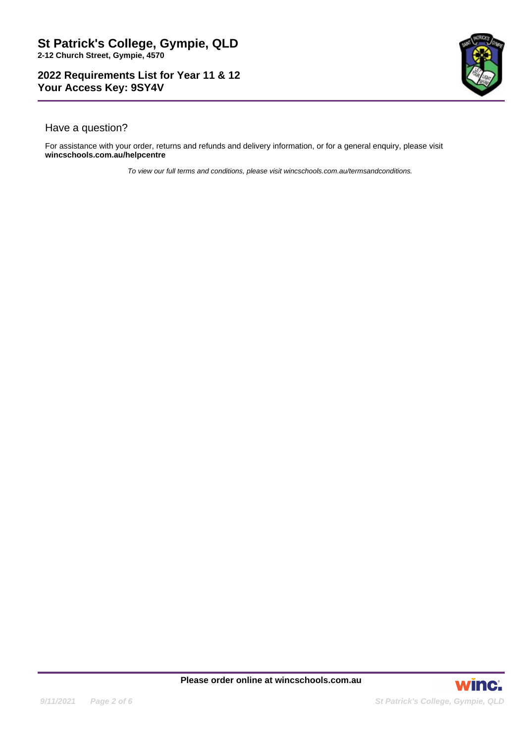

# Have a question?

For assistance with your order, returns and refunds and delivery information, or for a general enquiry, please visit **wincschools.com.au/helpcentre**

To view our full terms and conditions, please visit wincschools.com.au/termsandconditions.

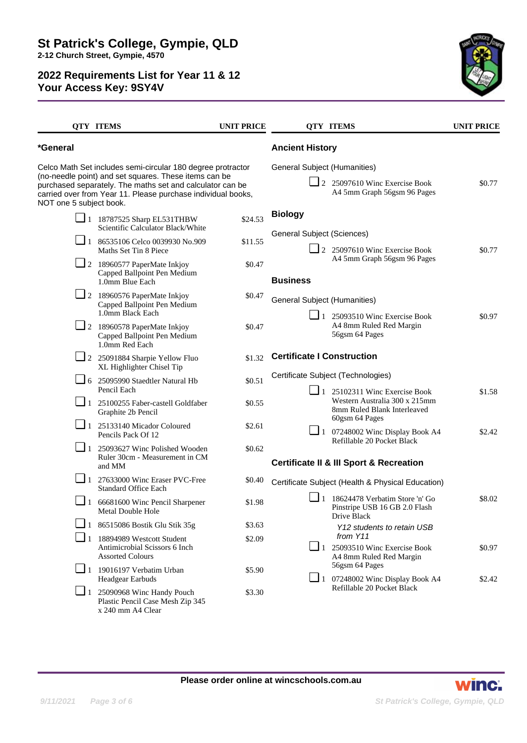

|                                                                                                                                                                                                                                                                              | <b>QTY ITEMS</b>                                                                      | <b>UNIT PRICE</b> |                                                                                                                                                                                                                                                                                                                                                                                                                                                                                                                                                                                                                                                                                                                       | <b>QTY ITEMS</b>                                                    | <b>UNIT PRICE</b> |
|------------------------------------------------------------------------------------------------------------------------------------------------------------------------------------------------------------------------------------------------------------------------------|---------------------------------------------------------------------------------------|-------------------|-----------------------------------------------------------------------------------------------------------------------------------------------------------------------------------------------------------------------------------------------------------------------------------------------------------------------------------------------------------------------------------------------------------------------------------------------------------------------------------------------------------------------------------------------------------------------------------------------------------------------------------------------------------------------------------------------------------------------|---------------------------------------------------------------------|-------------------|
| *General                                                                                                                                                                                                                                                                     |                                                                                       |                   | <b>Ancient History</b>                                                                                                                                                                                                                                                                                                                                                                                                                                                                                                                                                                                                                                                                                                |                                                                     |                   |
| Celco Math Set includes semi-circular 180 degree protractor<br>(no-needle point) and set squares. These items can be<br>purchased separately. The maths set and calculator can be<br>carried over from Year 11. Please purchase individual books,<br>NOT one 5 subject book. |                                                                                       |                   | General Subject (Humanities)                                                                                                                                                                                                                                                                                                                                                                                                                                                                                                                                                                                                                                                                                          | $\Box$ 2 25097610 Winc Exercise Book<br>A4 5mm Graph 56gsm 96 Pages | \$0.77            |
|                                                                                                                                                                                                                                                                              | $\Box$ 1 18787525 Sharp EL531THBW<br>Scientific Calculator Black/White                | \$24.53           | <b>Biology</b>                                                                                                                                                                                                                                                                                                                                                                                                                                                                                                                                                                                                                                                                                                        |                                                                     |                   |
| $\Box$ 1                                                                                                                                                                                                                                                                     | 86535106 Celco 0039930 No.909<br>Maths Set Tin 8 Piece                                | \$11.55           |                                                                                                                                                                                                                                                                                                                                                                                                                                                                                                                                                                                                                                                                                                                       |                                                                     | \$0.77            |
|                                                                                                                                                                                                                                                                              | 2 18960577 PaperMate Inkjoy<br>Capped Ballpoint Pen Medium<br>1.0mm Blue Each         | \$0.47            | <b>Business</b>                                                                                                                                                                                                                                                                                                                                                                                                                                                                                                                                                                                                                                                                                                       |                                                                     |                   |
|                                                                                                                                                                                                                                                                              | $\Box$ 2 18960576 PaperMate Inkjoy<br>Capped Ballpoint Pen Medium<br>1.0mm Black Each | \$0.47            |                                                                                                                                                                                                                                                                                                                                                                                                                                                                                                                                                                                                                                                                                                                       |                                                                     |                   |
|                                                                                                                                                                                                                                                                              | $\Box$ 2 18960578 PaperMate Inkjoy<br>Capped Ballpoint Pen Medium<br>1.0mm Red Each   | \$0.47            |                                                                                                                                                                                                                                                                                                                                                                                                                                                                                                                                                                                                                                                                                                                       | A4 8mm Ruled Red Margin<br>56gsm 64 Pages                           | \$0.97            |
|                                                                                                                                                                                                                                                                              | $\boxed{\phantom{0}}$ 2 25091884 Sharpie Yellow Fluo<br>XL Highlighter Chisel Tip     | \$1.32            |                                                                                                                                                                                                                                                                                                                                                                                                                                                                                                                                                                                                                                                                                                                       |                                                                     |                   |
|                                                                                                                                                                                                                                                                              | $\Box$ 6 25095990 Staedtler Natural Hb<br>Pencil Each                                 | \$0.51            |                                                                                                                                                                                                                                                                                                                                                                                                                                                                                                                                                                                                                                                                                                                       |                                                                     | \$1.58            |
|                                                                                                                                                                                                                                                                              | 1 25100255 Faber-castell Goldfaber<br>Graphite 2b Pencil                              | \$0.55            | <b>General Subject (Sciences)</b><br>$\Box$ 2 25097610 Winc Exercise Book<br>A4 5mm Graph 56gsm 96 Pages<br><b>General Subject (Humanities)</b><br>$\Box$ 1 25093510 Winc Exercise Book<br><b>Certificate I Construction</b><br>Certificate Subject (Technologies)<br>$\Box$ 1 25102311 Winc Exercise Book<br>8mm Ruled Blank Interleaved<br>60gsm 64 Pages<br>$\Box$ 1 07248002 Winc Display Book A4<br>Refillable 20 Pocket Black<br><b>Certificate II &amp; III Sport &amp; Recreation</b><br>Certificate Subject (Health & Physical Education)<br>$\blacksquare$ 1 18624478 Verbatim Store 'n' Go<br>Drive Black<br>from Y11<br>$\Box$ 1 25093510 Winc Exercise Book<br>A4 8mm Ruled Red Margin<br>56gsm 64 Pages | Western Australia 300 x 215mm                                       |                   |
|                                                                                                                                                                                                                                                                              | $\Box$ 1 25133140 Micador Coloured<br>Pencils Pack Of 12                              | \$2.61            |                                                                                                                                                                                                                                                                                                                                                                                                                                                                                                                                                                                                                                                                                                                       |                                                                     | \$2.42            |
| $\Box$ 1                                                                                                                                                                                                                                                                     | 25093627 Winc Polished Wooden<br>Ruler 30cm - Measurement in CM<br>and MM             | \$0.62            |                                                                                                                                                                                                                                                                                                                                                                                                                                                                                                                                                                                                                                                                                                                       |                                                                     |                   |
| $\Box$ 1                                                                                                                                                                                                                                                                     | 27633000 Winc Eraser PVC-Free<br><b>Standard Office Each</b>                          | \$0.40            |                                                                                                                                                                                                                                                                                                                                                                                                                                                                                                                                                                                                                                                                                                                       |                                                                     |                   |
| $\Box$ 1                                                                                                                                                                                                                                                                     | 66681600 Winc Pencil Sharpener<br><b>Metal Double Hole</b>                            | \$1.98            |                                                                                                                                                                                                                                                                                                                                                                                                                                                                                                                                                                                                                                                                                                                       | Pinstripe USB 16 GB 2.0 Flash                                       | \$8.02            |
|                                                                                                                                                                                                                                                                              | $\Box$ 1 86515086 Bostik Glu Stik 35g                                                 | \$3.63            |                                                                                                                                                                                                                                                                                                                                                                                                                                                                                                                                                                                                                                                                                                                       | Y12 students to retain USB                                          |                   |
| ப                                                                                                                                                                                                                                                                            | 18894989 Westcott Student<br>Antimicrobial Scissors 6 Inch<br><b>Assorted Colours</b> | \$2.09            |                                                                                                                                                                                                                                                                                                                                                                                                                                                                                                                                                                                                                                                                                                                       |                                                                     | \$0.97            |
|                                                                                                                                                                                                                                                                              | $\Box$ 1 19016197 Verbatim Urban<br>Headgear Earbuds                                  | \$5.90            |                                                                                                                                                                                                                                                                                                                                                                                                                                                                                                                                                                                                                                                                                                                       | $\Box$ 1 07248002 Winc Display Book A4                              | \$2.42            |
| $\Box$ 1                                                                                                                                                                                                                                                                     | 25090968 Winc Handy Pouch<br>Plastic Pencil Case Mesh Zip 345<br>x 240 mm A4 Clear    | \$3.30            |                                                                                                                                                                                                                                                                                                                                                                                                                                                                                                                                                                                                                                                                                                                       | Refillable 20 Pocket Black                                          |                   |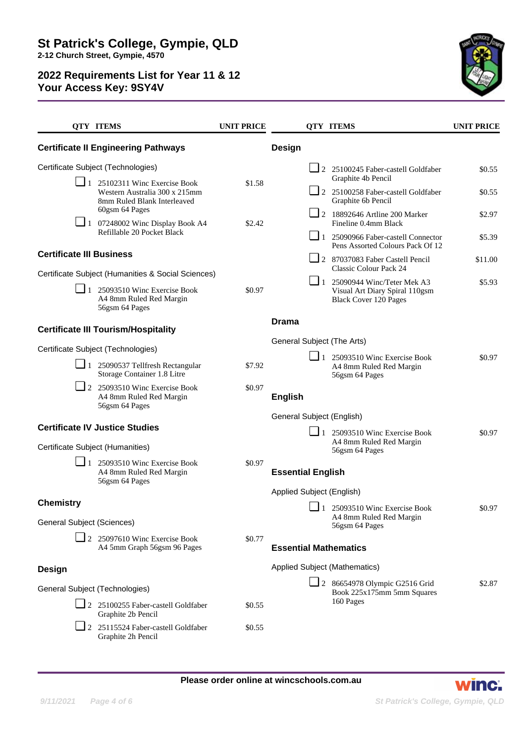

|                                                       | <b>QTY ITEMS</b>                                                                                     | <b>UNIT PRICE</b> |                                                                    | <b>QTY ITEMS</b>                                                                  | <b>UNIT PRICE</b> |
|-------------------------------------------------------|------------------------------------------------------------------------------------------------------|-------------------|--------------------------------------------------------------------|-----------------------------------------------------------------------------------|-------------------|
|                                                       | <b>Certificate II Engineering Pathways</b>                                                           |                   | Design                                                             |                                                                                   |                   |
|                                                       | Certificate Subject (Technologies)                                                                   |                   |                                                                    | $\Box$ 2 25100245 Faber-castell Goldfaber<br>Graphite 4b Pencil                   | \$0.55            |
|                                                       | $\Box$ 1 25102311 Winc Exercise Book<br>Western Australia 300 x 215mm<br>8mm Ruled Blank Interleaved | \$1.58            |                                                                    | $\Box$ 2 25100258 Faber-castell Goldfaber<br>Graphite 6b Pencil                   | \$0.55            |
|                                                       | 60gsm 64 Pages<br>$\Box$ 1 07248002 Winc Display Book A4                                             | \$2.42            |                                                                    | $\boxed{\phantom{0}}$ 2 18892646 Artline 200 Marker<br>Fineline 0.4mm Black       | \$2.97            |
|                                                       | Refillable 20 Pocket Black                                                                           |                   |                                                                    | 1 25090966 Faber-castell Connector<br>Pens Assorted Colours Pack Of 12            | \$5.39            |
| <b>Certificate III Business</b>                       |                                                                                                      |                   |                                                                    | $\Box$ 2 87037083 Faber Castell Pencil<br>Classic Colour Pack 24                  | \$11.00           |
|                                                       | Certificate Subject (Humanities & Social Sciences)<br>$\Box$ 1 25093510 Winc Exercise Book           | \$0.97            |                                                                    | 1 25090944 Winc/Teter Mek A3                                                      | \$5.93            |
|                                                       | A4 8mm Ruled Red Margin<br>56gsm 64 Pages                                                            |                   |                                                                    | Visual Art Diary Spiral 110gsm<br><b>Black Cover 120 Pages</b>                    |                   |
| <b>Certificate III Tourism/Hospitality</b>            |                                                                                                      |                   | <b>Drama</b>                                                       |                                                                                   |                   |
|                                                       | Certificate Subject (Technologies)                                                                   |                   | General Subject (The Arts)                                         |                                                                                   |                   |
|                                                       | $\Box$ 1 25090537 Tellfresh Rectangular<br>Storage Container 1.8 Litre                               | \$7.92            |                                                                    | $\Box$ 1 25093510 Winc Exercise Book<br>A4 8mm Ruled Red Margin<br>56gsm 64 Pages | \$0.97            |
|                                                       | 2 25093510 Winc Exercise Book<br>A4 8mm Ruled Red Margin<br>56gsm 64 Pages                           | \$0.97            | <b>English</b>                                                     |                                                                                   |                   |
|                                                       |                                                                                                      |                   | General Subject (English)                                          |                                                                                   |                   |
|                                                       | <b>Certificate IV Justice Studies</b>                                                                |                   |                                                                    | $\Box$ 1 25093510 Winc Exercise Book                                              | \$0.97            |
| Certificate Subject (Humanities)                      |                                                                                                      |                   |                                                                    | A4 8mm Ruled Red Margin<br>56gsm 64 Pages                                         |                   |
|                                                       | $\Box$ 1 25093510 Winc Exercise Book<br>A4 8mm Ruled Red Margin<br>56gsm 64 Pages                    | \$0.97            | <b>Essential English</b>                                           |                                                                                   |                   |
|                                                       |                                                                                                      |                   | Applied Subject (English)                                          |                                                                                   |                   |
| <b>Chemistry</b><br><b>General Subject (Sciences)</b> |                                                                                                      |                   |                                                                    | 1 25093510 Winc Exercise Book<br>A4 8mm Ruled Red Margin                          | \$0.97            |
|                                                       | $\Box$ 2 25097610 Winc Exercise Book                                                                 | \$0.77            |                                                                    | 56gsm 64 Pages                                                                    |                   |
|                                                       | A4 5mm Graph 56gsm 96 Pages                                                                          |                   | <b>Essential Mathematics</b>                                       |                                                                                   |                   |
| <b>Design</b>                                         |                                                                                                      |                   | Applied Subject (Mathematics)                                      |                                                                                   |                   |
| General Subject (Technologies)                        |                                                                                                      |                   | $\Box$ 2 86654978 Olympic G2516 Grid<br>Book 225x175mm 5mm Squares |                                                                                   | \$2.87            |
|                                                       | 2 25100255 Faber-castell Goldfaber<br>Graphite 2b Pencil                                             | \$0.55            |                                                                    | 160 Pages                                                                         |                   |
|                                                       | $\Box$ 2 25115524 Faber-castell Goldfaber<br>Graphite 2h Pencil                                      | \$0.55            |                                                                    |                                                                                   |                   |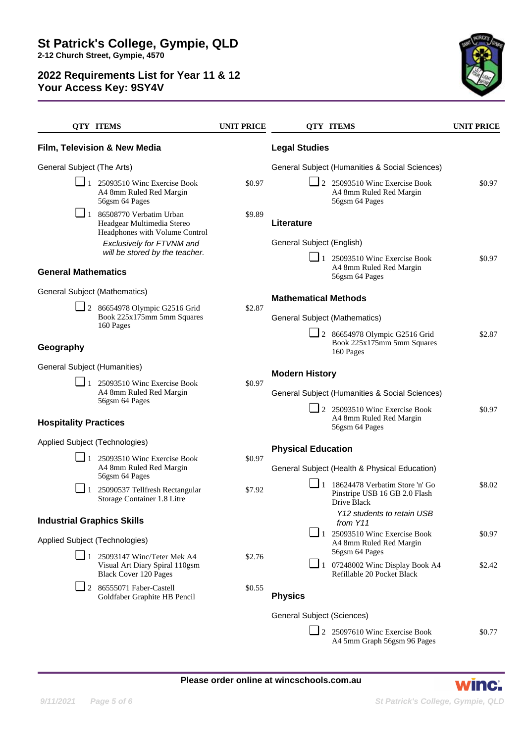

|                                                              | <b>OTY ITEMS</b>                                                                                                | <b>UNIT PRICE</b> |                                                | <b>OTY ITEMS</b>                                                                                       | <b>UNIT PRICE</b> |
|--------------------------------------------------------------|-----------------------------------------------------------------------------------------------------------------|-------------------|------------------------------------------------|--------------------------------------------------------------------------------------------------------|-------------------|
|                                                              | Film, Television & New Media                                                                                    |                   | <b>Legal Studies</b>                           |                                                                                                        |                   |
| General Subject (The Arts)                                   |                                                                                                                 |                   | General Subject (Humanities & Social Sciences) |                                                                                                        |                   |
|                                                              | $\blacksquare$ 1 25093510 Winc Exercise Book<br>A4 8mm Ruled Red Margin<br>56gsm 64 Pages                       | \$0.97            |                                                | $\Box$ 2 25093510 Winc Exercise Book<br>A4 8mm Ruled Red Margin<br>56gsm 64 Pages                      | \$0.97            |
|                                                              | $\boxed{\phantom{0}}$ 1 86508770 Verbatim Urban<br>Headgear Multimedia Stereo<br>Headphones with Volume Control | \$9.89            | Literature                                     |                                                                                                        |                   |
|                                                              | Exclusively for FTVNM and                                                                                       |                   | General Subject (English)                      |                                                                                                        |                   |
| will be stored by the teacher.<br><b>General Mathematics</b> |                                                                                                                 |                   |                                                | $\Box$ 1 25093510 Winc Exercise Book<br>A4 8mm Ruled Red Margin<br>56gsm 64 Pages                      | \$0.97            |
| General Subject (Mathematics)                                |                                                                                                                 |                   | <b>Mathematical Methods</b>                    |                                                                                                        |                   |
|                                                              | $\Box$ 2 86654978 Olympic G2516 Grid<br>Book 225x175mm 5mm Squares<br>160 Pages                                 | \$2.87            |                                                |                                                                                                        |                   |
|                                                              |                                                                                                                 |                   | General Subject (Mathematics)                  |                                                                                                        |                   |
| Geography                                                    |                                                                                                                 |                   |                                                | $\Box$ 2 86654978 Olympic G2516 Grid<br>Book 225x175mm 5mm Squares<br>160 Pages                        | \$2.87            |
| General Subject (Humanities)                                 |                                                                                                                 |                   | <b>Modern History</b>                          |                                                                                                        |                   |
|                                                              | $\blacksquare$ 1 25093510 Winc Exercise Book<br>A4 8mm Ruled Red Margin<br>56gsm 64 Pages                       | \$0.97            |                                                |                                                                                                        |                   |
|                                                              |                                                                                                                 |                   |                                                | General Subject (Humanities & Social Sciences)                                                         |                   |
| <b>Hospitality Practices</b>                                 |                                                                                                                 |                   |                                                | 2 25093510 Winc Exercise Book<br>A4 8mm Ruled Red Margin<br>56gsm 64 Pages                             | \$0.97            |
| Applied Subject (Technologies)                               |                                                                                                                 |                   | <b>Physical Education</b>                      |                                                                                                        |                   |
|                                                              | $\Box$ 1 25093510 Winc Exercise Book<br>A4 8mm Ruled Red Margin<br>56gsm 64 Pages                               | \$0.97            | General Subject (Health & Physical Education)  |                                                                                                        |                   |
|                                                              | $\blacksquare$ 1 25090537 Tellfresh Rectangular<br>Storage Container 1.8 Litre                                  | \$7.92            |                                                | $\boxed{\phantom{0}}$ 1 18624478 Verbatim Store 'n' Go<br>Pinstripe USB 16 GB 2.0 Flash<br>Drive Black | \$8.02            |
| <b>Industrial Graphics Skills</b>                            |                                                                                                                 |                   | Y12 students to retain USB<br>from Y11         |                                                                                                        |                   |
| Applied Subject (Technologies)                               |                                                                                                                 |                   |                                                | $\blacksquare$ 1 25093510 Winc Exercise Book                                                           | \$0.97            |
|                                                              |                                                                                                                 |                   |                                                | A4 8mm Ruled Red Margin<br>56gsm 64 Pages                                                              |                   |
|                                                              | 25093147 Winc/Teter Mek A4<br>Visual Art Diary Spiral 110gsm<br><b>Black Cover 120 Pages</b>                    | \$2.76            |                                                | $\Box$ 1 07248002 Winc Display Book A4<br>Refillable 20 Pocket Black                                   | \$2.42            |
|                                                              | $\Box$ 2 86555071 Faber-Castell<br>Goldfaber Graphite HB Pencil                                                 | \$0.55            | <b>Physics</b>                                 |                                                                                                        |                   |
|                                                              |                                                                                                                 |                   | General Subject (Sciences)                     |                                                                                                        |                   |
|                                                              |                                                                                                                 |                   |                                                | 2 25097610 Winc Exercise Book<br>A4 5mm Graph 56gsm 96 Pages                                           | \$0.77            |